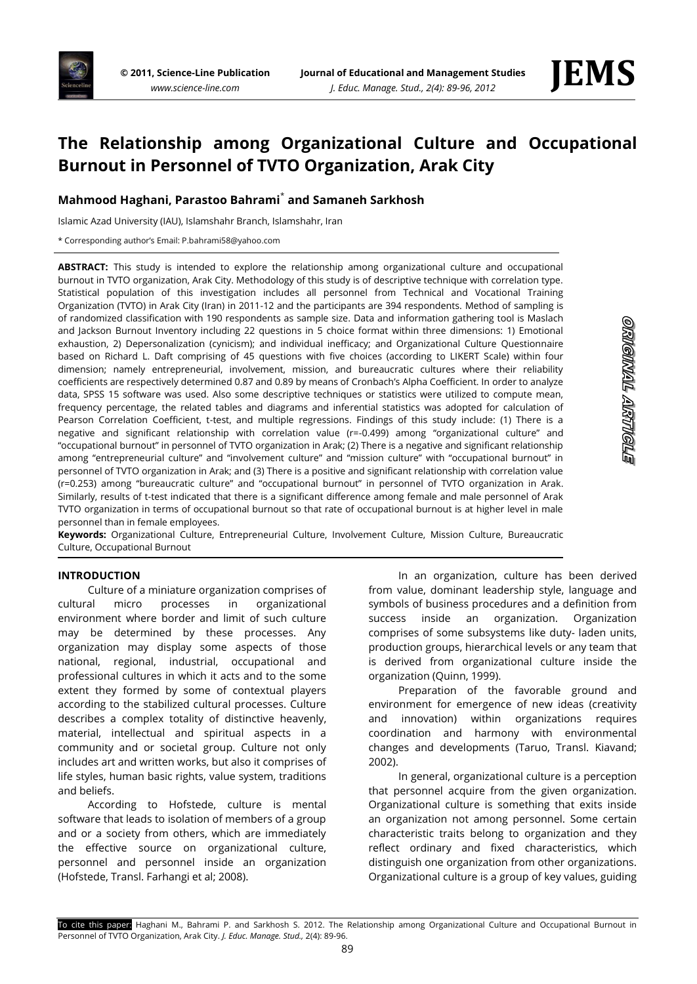

# **The Relationship among Organizational Culture and Occupational Burnout in Personnel of TVTO Organization, Arak City**

# **Mahmood Haghani, Parastoo Bahrami**\* **and Samaneh Sarkhosh**

Islamic Azad University (IAU), Islamshahr Branch, Islamshahr, Iran

\* Corresponding author's Email: P.bahrami58@yahoo.com

**ABSTRACT:** This study is intended to explore the relationship among organizational culture and occupational burnout in TVTO organization, Arak City. Methodology of this study is of descriptive technique with correlation type. Statistical population of this investigation includes all personnel from Technical and Vocational Training Organization (TVTO) in Arak City (Iran) in 2011-12 and the participants are 394 respondents. Method of sampling is of randomized classification with 190 respondents as sample size. Data and information gathering tool is Maslach and Jackson Burnout Inventory including 22 questions in 5 choice format within three dimensions: 1) Emotional exhaustion, 2) Depersonalization (cynicism); and individual inefficacy; and Organizational Culture Questionnaire based on Richard L. Daft comprising of 45 questions with five choices (according to LIKERT Scale) within four dimension; namely entrepreneurial, involvement, mission, and bureaucratic cultures where their reliability coefficients are respectively determined 0.87 and 0.89 by means of Cronbach's Alpha Coefficient. In order to analyze data, SPSS 15 software was used. Also some descriptive techniques or statistics were utilized to compute mean, frequency percentage, the related tables and diagrams and inferential statistics was adopted for calculation of Pearson Correlation Coefficient, t-test, and multiple regressions. Findings of this study include: (1) There is a negative and significant relationship with correlation value (r=-0.499) among "organizational culture" and "occupational burnout" in personnel of TVTO organization in Arak; (2) There is a negative and significant relationship among "entrepreneurial culture" and "involvement culture" and "mission culture" with "occupational burnout" in personnel of TVTO organization in Arak; and (3) There is a positive and significant relationship with correlation value (r=0.253) among "bureaucratic culture" and "occupational burnout" in personnel of TVTO organization in Arak. Similarly, results of t-test indicated that there is a significant difference among female and male personnel of Arak TVTO organization in terms of occupational burnout so that rate of occupational burnout is at higher level in male personnel than in female employees.

**Keywords:** Organizational Culture, Entrepreneurial Culture, Involvement Culture, Mission Culture, Bureaucratic Culture, Occupational Burnout

#### **INTRODUCTION**

Culture of a miniature organization comprises of cultural micro processes in organizational environment where border and limit of such culture may be determined by these processes. Any organization may display some aspects of those national, regional, industrial, occupational and professional cultures in which it acts and to the some extent they formed by some of contextual players according to the stabilized cultural processes. Culture describes a complex totality of distinctive heavenly, material, intellectual and spiritual aspects in a community and or societal group. Culture not only includes art and written works, but also it comprises of life styles, human basic rights, value system, traditions and beliefs.

According to Hofstede, culture is mental software that leads to isolation of members of a group and or a society from others, which are immediately the effective source on organizational culture, personnel and personnel inside an organization (Hofstede, Transl. Farhangi et al; 2008).

In an organization, culture has been derived from value, dominant leadership style, language and symbols of business procedures and a definition from success inside an organization. Organization comprises of some subsystems like duty- laden units, production groups, hierarchical levels or any team that is derived from organizational culture inside the organization (Quinn, 1999).

Preparation of the favorable ground and environment for emergence of new ideas (creativity and innovation) within organizations requires coordination and harmony with environmental changes and developments (Taruo, Transl. Kiavand; 2002).

In general, organizational culture is a perception that personnel acquire from the given organization. Organizational culture is something that exits inside an organization not among personnel. Some certain characteristic traits belong to organization and they reflect ordinary and fixed characteristics, which distinguish one organization from other organizations. Organizational culture is a group of key values, guiding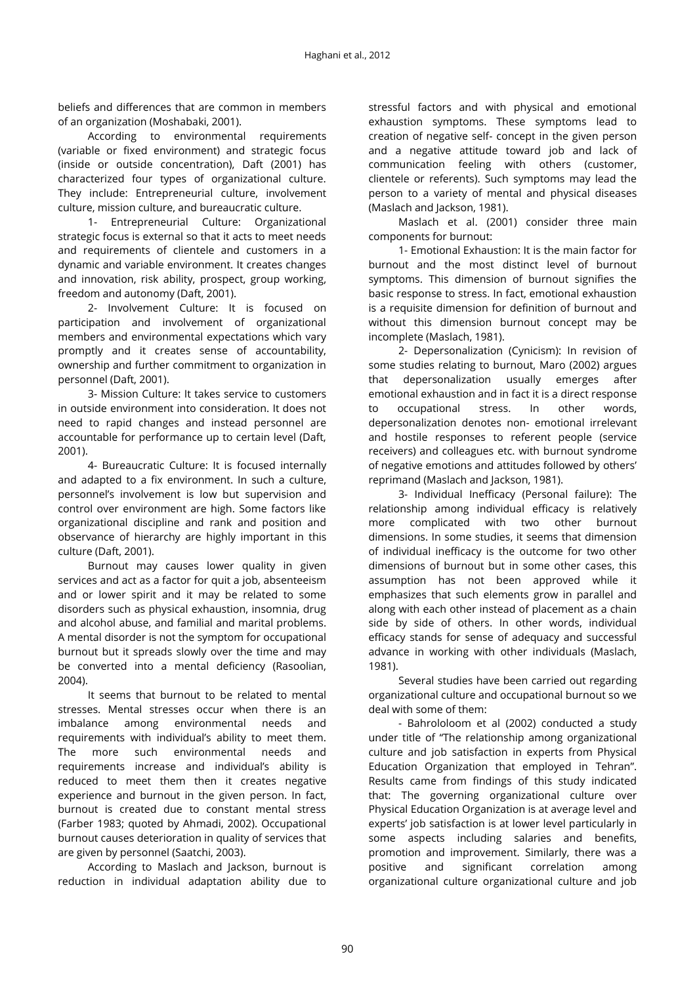beliefs and differences that are common in members of an organization (Moshabaki, 2001).

According to environmental requirements (variable or fixed environment) and strategic focus (inside or outside concentration), Daft (2001) has characterized four types of organizational culture. They include: Entrepreneurial culture, involvement culture, mission culture, and bureaucratic culture.

1- Entrepreneurial Culture: Organizational strategic focus is external so that it acts to meet needs and requirements of clientele and customers in a dynamic and variable environment. It creates changes and innovation, risk ability, prospect, group working, freedom and autonomy (Daft, 2001).

2- Involvement Culture: It is focused on participation and involvement of organizational members and environmental expectations which vary promptly and it creates sense of accountability, ownership and further commitment to organization in personnel (Daft, 2001).

3- Mission Culture: It takes service to customers in outside environment into consideration. It does not need to rapid changes and instead personnel are accountable for performance up to certain level (Daft, 2001).

4- Bureaucratic Culture: It is focused internally and adapted to a fix environment. In such a culture, personnel's involvement is low but supervision and control over environment are high. Some factors like organizational discipline and rank and position and observance of hierarchy are highly important in this culture (Daft, 2001).

Burnout may causes lower quality in given services and act as a factor for quit a job, absenteeism and or lower spirit and it may be related to some disorders such as physical exhaustion, insomnia, drug and alcohol abuse, and familial and marital problems. A mental disorder is not the symptom for occupational burnout but it spreads slowly over the time and may be converted into a mental deficiency (Rasoolian, 2004).

It seems that burnout to be related to mental stresses. Mental stresses occur when there is an imbalance among environmental needs and requirements with individual's ability to meet them. The more such environmental needs and requirements increase and individual's ability is reduced to meet them then it creates negative experience and burnout in the given person. In fact, burnout is created due to constant mental stress (Farber 1983; quoted by Ahmadi, 2002). Occupational burnout causes deterioration in quality of services that are given by personnel (Saatchi, 2003).

According to Maslach and Jackson, burnout is reduction in individual adaptation ability due to

stressful factors and with physical and emotional exhaustion symptoms. These symptoms lead to creation of negative self- concept in the given person and a negative attitude toward job and lack of communication feeling with others (customer, clientele or referents). Such symptoms may lead the person to a variety of mental and physical diseases (Maslach and Jackson, 1981).

Maslach et al. (2001) consider three main components for burnout:

1- Emotional Exhaustion: It is the main factor for burnout and the most distinct level of burnout symptoms. This dimension of burnout signifies the basic response to stress. In fact, emotional exhaustion is a requisite dimension for definition of burnout and without this dimension burnout concept may be incomplete (Maslach, 1981).

2- Depersonalization (Cynicism): In revision of some studies relating to burnout, Maro (2002) argues that depersonalization usually emerges after emotional exhaustion and in fact it is a direct response to occupational stress. In other words, depersonalization denotes non- emotional irrelevant and hostile responses to referent people (service receivers) and colleagues etc. with burnout syndrome of negative emotions and attitudes followed by others' reprimand (Maslach and Jackson, 1981).

3- Individual Inefficacy (Personal failure): The relationship among individual efficacy is relatively more complicated with two other burnout dimensions. In some studies, it seems that dimension of individual inefficacy is the outcome for two other dimensions of burnout but in some other cases, this assumption has not been approved while it emphasizes that such elements grow in parallel and along with each other instead of placement as a chain side by side of others. In other words, individual efficacy stands for sense of adequacy and successful advance in working with other individuals (Maslach, 1981).

Several studies have been carried out regarding organizational culture and occupational burnout so we deal with some of them:

- Bahrololoom et al (2002) conducted a study under title of "The relationship among organizational culture and job satisfaction in experts from Physical Education Organization that employed in Tehran". Results came from findings of this study indicated that: The governing organizational culture over Physical Education Organization is at average level and experts' job satisfaction is at lower level particularly in some aspects including salaries and benefits, promotion and improvement. Similarly, there was a positive and significant correlation among organizational culture organizational culture and job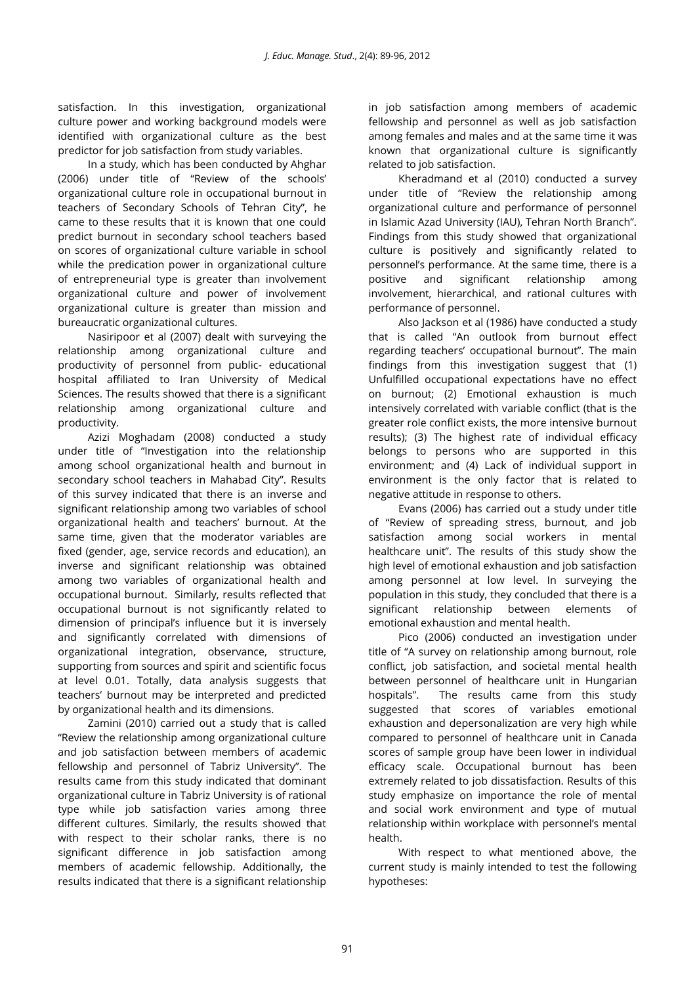satisfaction. In this investigation, organizational culture power and working background models were identified with organizational culture as the best predictor for job satisfaction from study variables.

In a study, which has been conducted by Ahghar (2006) under title of "Review of the schools' organizational culture role in occupational burnout in teachers of Secondary Schools of Tehran City", he came to these results that it is known that one could predict burnout in secondary school teachers based on scores of organizational culture variable in school while the predication power in organizational culture of entrepreneurial type is greater than involvement organizational culture and power of involvement organizational culture is greater than mission and bureaucratic organizational cultures.

Nasiripoor et al (2007) dealt with surveying the relationship among organizational culture and productivity of personnel from public- educational hospital affiliated to Iran University of Medical Sciences. The results showed that there is a significant relationship among organizational culture and productivity.

Azizi Moghadam (2008) conducted a study under title of "Investigation into the relationship among school organizational health and burnout in secondary school teachers in Mahabad City". Results of this survey indicated that there is an inverse and significant relationship among two variables of school organizational health and teachers' burnout. At the same time, given that the moderator variables are fixed (gender, age, service records and education), an inverse and significant relationship was obtained among two variables of organizational health and occupational burnout. Similarly, results reflected that occupational burnout is not significantly related to dimension of principal's influence but it is inversely and significantly correlated with dimensions of organizational integration, observance, structure, supporting from sources and spirit and scientific focus at level 0.01. Totally, data analysis suggests that teachers' burnout may be interpreted and predicted by organizational health and its dimensions.

Zamini (2010) carried out a study that is called "Review the relationship among organizational culture and job satisfaction between members of academic fellowship and personnel of Tabriz University". The results came from this study indicated that dominant organizational culture in Tabriz University is of rational type while job satisfaction varies among three different cultures. Similarly, the results showed that with respect to their scholar ranks, there is no significant difference in job satisfaction among members of academic fellowship. Additionally, the results indicated that there is a significant relationship

in job satisfaction among members of academic fellowship and personnel as well as job satisfaction among females and males and at the same time it was known that organizational culture is significantly related to job satisfaction.

Kheradmand et al (2010) conducted a survey under title of "Review the relationship among organizational culture and performance of personnel in Islamic Azad University (IAU), Tehran North Branch". Findings from this study showed that organizational culture is positively and significantly related to personnel's performance. At the same time, there is a positive and significant relationship among involvement, hierarchical, and rational cultures with performance of personnel.

Also Jackson et al (1986) have conducted a study that is called "An outlook from burnout effect regarding teachers' occupational burnout". The main findings from this investigation suggest that (1) Unfulfilled occupational expectations have no effect on burnout; (2) Emotional exhaustion is much intensively correlated with variable conflict (that is the greater role conflict exists, the more intensive burnout results); (3) The highest rate of individual efficacy belongs to persons who are supported in this environment; and (4) Lack of individual support in environment is the only factor that is related to negative attitude in response to others.

Evans (2006) has carried out a study under title of "Review of spreading stress, burnout, and job satisfaction among social workers in mental healthcare unit". The results of this study show the high level of emotional exhaustion and job satisfaction among personnel at low level. In surveying the population in this study, they concluded that there is a significant relationship between elements of emotional exhaustion and mental health.

Pico (2006) conducted an investigation under title of "A survey on relationship among burnout, role conflict, job satisfaction, and societal mental health between personnel of healthcare unit in Hungarian hospitals". The results came from this study suggested that scores of variables emotional exhaustion and depersonalization are very high while compared to personnel of healthcare unit in Canada scores of sample group have been lower in individual efficacy scale. Occupational burnout has been extremely related to job dissatisfaction. Results of this study emphasize on importance the role of mental and social work environment and type of mutual relationship within workplace with personnel's mental health.

With respect to what mentioned above, the current study is mainly intended to test the following hypotheses: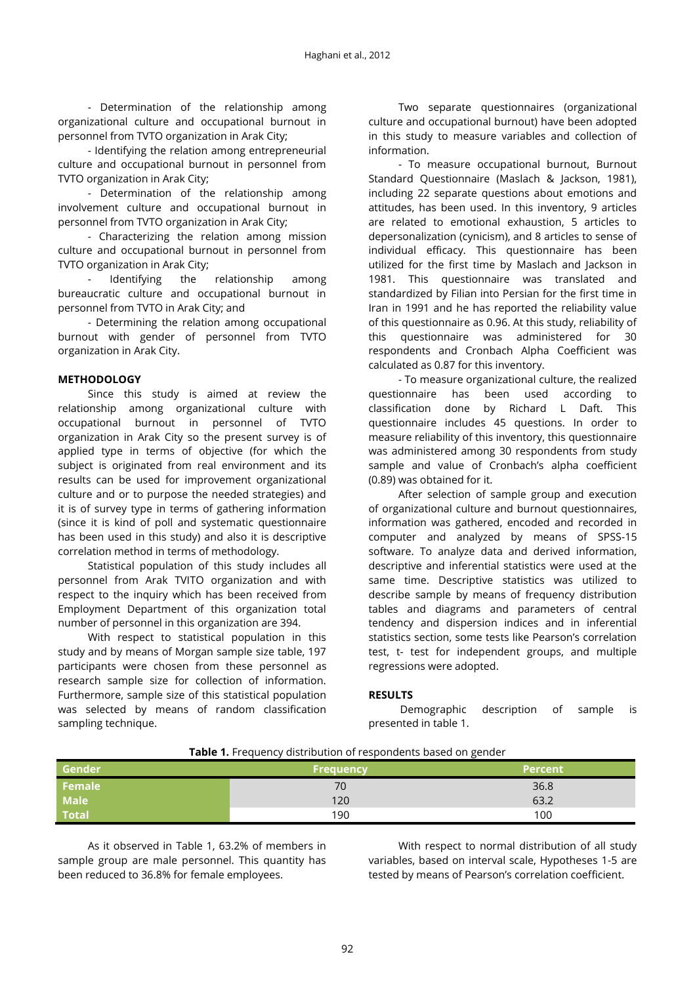- Determination of the relationship among organizational culture and occupational burnout in personnel from TVTO organization in Arak City;

- Identifying the relation among entrepreneurial culture and occupational burnout in personnel from TVTO organization in Arak City;

- Determination of the relationship among involvement culture and occupational burnout in personnel from TVTO organization in Arak City;

- Characterizing the relation among mission culture and occupational burnout in personnel from TVTO organization in Arak City;

- Identifying the relationship among bureaucratic culture and occupational burnout in personnel from TVTO in Arak City; and

- Determining the relation among occupational burnout with gender of personnel from TVTO organization in Arak City.

#### **METHODOLOGY**

Since this study is aimed at review the relationship among organizational culture with occupational burnout in personnel of TVTO organization in Arak City so the present survey is of applied type in terms of objective (for which the subject is originated from real environment and its results can be used for improvement organizational culture and or to purpose the needed strategies) and it is of survey type in terms of gathering information (since it is kind of poll and systematic questionnaire has been used in this study) and also it is descriptive correlation method in terms of methodology.

Statistical population of this study includes all personnel from Arak TVITO organization and with respect to the inquiry which has been received from Employment Department of this organization total number of personnel in this organization are 394.

With respect to statistical population in this study and by means of Morgan sample size table, 197 participants were chosen from these personnel as research sample size for collection of information. Furthermore, sample size of this statistical population was selected by means of random classification sampling technique.

Two separate questionnaires (organizational culture and occupational burnout) have been adopted in this study to measure variables and collection of information.

- To measure occupational burnout, Burnout Standard Questionnaire (Maslach & Jackson, 1981), including 22 separate questions about emotions and attitudes, has been used. In this inventory, 9 articles are related to emotional exhaustion, 5 articles to depersonalization (cynicism), and 8 articles to sense of individual efficacy. This questionnaire has been utilized for the first time by Maslach and Jackson in 1981. This questionnaire was translated and standardized by Filian into Persian for the first time in Iran in 1991 and he has reported the reliability value of this questionnaire as 0.96. At this study, reliability of this questionnaire was administered for 30 respondents and Cronbach Alpha Coefficient was calculated as 0.87 for this inventory.

- To measure organizational culture, the realized questionnaire has been used according to classification done by Richard L Daft. This questionnaire includes 45 questions. In order to measure reliability of this inventory, this questionnaire was administered among 30 respondents from study sample and value of Cronbach's alpha coefficient (0.89) was obtained for it.

After selection of sample group and execution of organizational culture and burnout questionnaires, information was gathered, encoded and recorded in computer and analyzed by means of SPSS-15 software. To analyze data and derived information, descriptive and inferential statistics were used at the same time. Descriptive statistics was utilized to describe sample by means of frequency distribution tables and diagrams and parameters of central tendency and dispersion indices and in inferential statistics section, some tests like Pearson's correlation test, t- test for independent groups, and multiple regressions were adopted.

#### **RESULTS**

Demographic description of sample is presented in table 1.

| <b>Gender</b> | <b>Frequency</b> | <b>Percent</b> |
|---------------|------------------|----------------|
| Female        | 70               | 36.8           |
| <b>Male</b>   | 120              | 63.2           |
| <b>Total</b>  | 190              | 100            |

#### **Table 1.** Frequency distribution of respondents based on gender

As it observed in Table 1, 63.2% of members in sample group are male personnel. This quantity has been reduced to 36.8% for female employees.

With respect to normal distribution of all study variables, based on interval scale, Hypotheses 1-5 are tested by means of Pearson's correlation coefficient.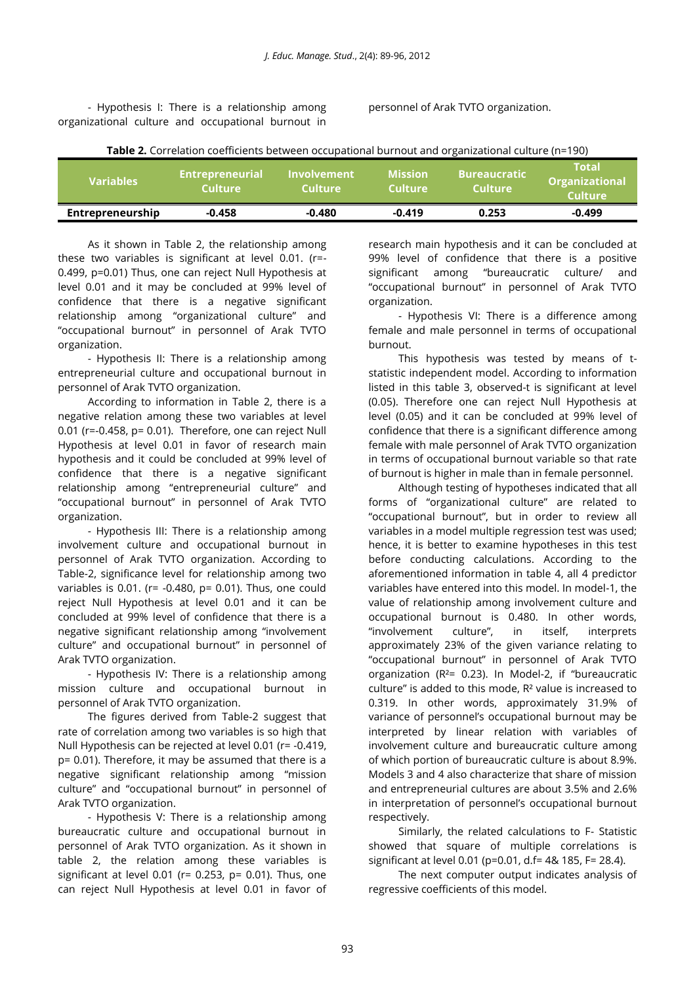- Hypothesis I: There is a relationship among organizational culture and occupational burnout in personnel of Arak TVTO organization.

| <b>Table 2.</b> Correlation coefficients between occupational burnout and organizational culture (n=190) |  |
|----------------------------------------------------------------------------------------------------------|--|
|----------------------------------------------------------------------------------------------------------|--|

| <b>Variables</b> | <b>Entrepreneurial</b><br>Culture |          | <b>Mission</b><br><b>Culture</b> | <b>Bureaucratic</b><br><b>Culture</b> | <b>Notal</b><br><b>Organizational</b><br><b>Culture</b> |
|------------------|-----------------------------------|----------|----------------------------------|---------------------------------------|---------------------------------------------------------|
| Entrepreneurship | $-0.458$                          | $-0.480$ | $-0.419$                         | 0.253                                 | $-0.499$                                                |

As it shown in Table 2, the relationship among these two variables is significant at level 0.01. (r=- 0.499, p=0.01) Thus, one can reject Null Hypothesis at level 0.01 and it may be concluded at 99% level of confidence that there is a negative significant relationship among "organizational culture" and "occupational burnout" in personnel of Arak TVTO organization.

- Hypothesis II: There is a relationship among entrepreneurial culture and occupational burnout in personnel of Arak TVTO organization.

According to information in Table 2, there is a negative relation among these two variables at level 0.01 (r=-0.458, p= 0.01). Therefore, one can reject Null Hypothesis at level 0.01 in favor of research main hypothesis and it could be concluded at 99% level of confidence that there is a negative significant relationship among "entrepreneurial culture" and "occupational burnout" in personnel of Arak TVTO organization.

- Hypothesis III: There is a relationship among involvement culture and occupational burnout in personnel of Arak TVTO organization. According to Table-2, significance level for relationship among two variables is 0.01. (r= -0.480, p= 0.01). Thus, one could reject Null Hypothesis at level 0.01 and it can be concluded at 99% level of confidence that there is a negative significant relationship among "involvement culture" and occupational burnout" in personnel of Arak TVTO organization.

- Hypothesis IV: There is a relationship among mission culture and occupational burnout in personnel of Arak TVTO organization.

The figures derived from Table-2 suggest that rate of correlation among two variables is so high that Null Hypothesis can be rejected at level 0.01 (r= -0.419, p= 0.01). Therefore, it may be assumed that there is a negative significant relationship among "mission culture" and "occupational burnout" in personnel of Arak TVTO organization.

- Hypothesis V: There is a relationship among bureaucratic culture and occupational burnout in personnel of Arak TVTO organization. As it shown in table 2, the relation among these variables is significant at level 0.01 ( $r= 0.253$ ,  $p= 0.01$ ). Thus, one can reject Null Hypothesis at level 0.01 in favor of

research main hypothesis and it can be concluded at 99% level of confidence that there is a positive significant among "bureaucratic culture/ and "occupational burnout" in personnel of Arak TVTO organization.

- Hypothesis VI: There is a difference among female and male personnel in terms of occupational burnout.

This hypothesis was tested by means of tstatistic independent model. According to information listed in this table 3, observed-t is significant at level (0.05). Therefore one can reject Null Hypothesis at level (0.05) and it can be concluded at 99% level of confidence that there is a significant difference among female with male personnel of Arak TVTO organization in terms of occupational burnout variable so that rate of burnout is higher in male than in female personnel.

Although testing of hypotheses indicated that all forms of "organizational culture" are related to "occupational burnout", but in order to review all variables in a model multiple regression test was used; hence, it is better to examine hypotheses in this test before conducting calculations. According to the aforementioned information in table 4, all 4 predictor variables have entered into this model. In model-1, the value of relationship among involvement culture and occupational burnout is 0.480. In other words, "involvement culture", in itself, interprets approximately 23% of the given variance relating to "occupational burnout" in personnel of Arak TVTO organization (R²= 0.23). In Model-2, if "bureaucratic culture" is added to this mode, R² value is increased to 0.319. In other words, approximately 31.9% of variance of personnel's occupational burnout may be interpreted by linear relation with variables of involvement culture and bureaucratic culture among of which portion of bureaucratic culture is about 8.9%. Models 3 and 4 also characterize that share of mission and entrepreneurial cultures are about 3.5% and 2.6% in interpretation of personnel's occupational burnout respectively.

Similarly, the related calculations to F- Statistic showed that square of multiple correlations is significant at level 0.01 (p=0.01, d.f= 4& 185, F= 28.4).

The next computer output indicates analysis of regressive coefficients of this model.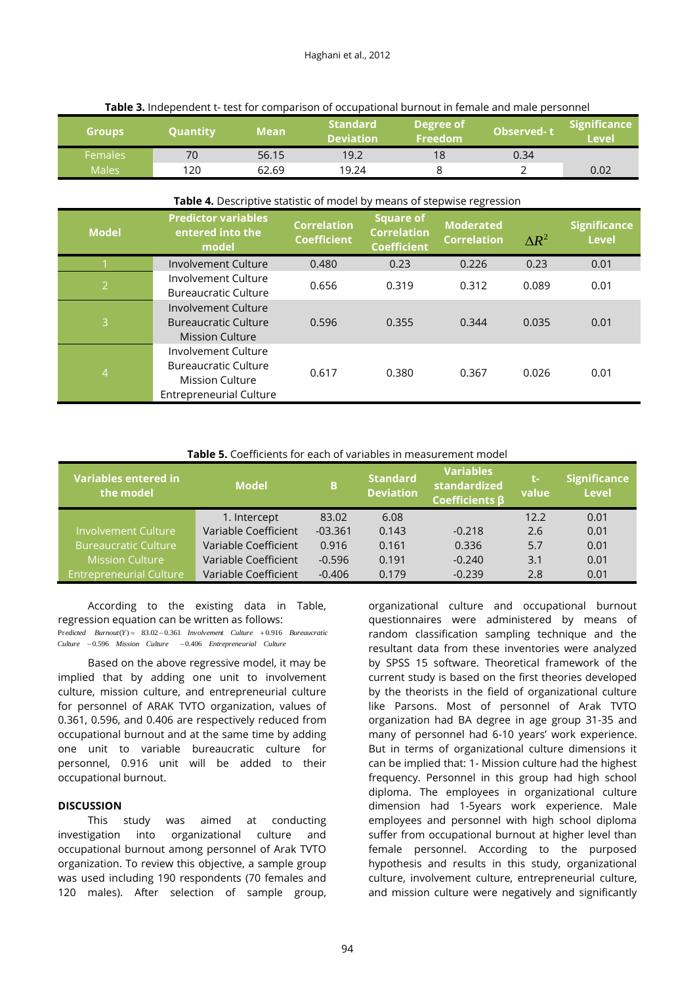| <b>Groups</b>  | <b>Quantity</b> | Mean  | <b>Standard</b><br><b>Deviation</b> | Degree of<br><b>Freedom</b> | <b>Observed-t</b> | <b>Significance</b><br><b>Level</b> |
|----------------|-----------------|-------|-------------------------------------|-----------------------------|-------------------|-------------------------------------|
| <b>Females</b> | 70              | 56.15 | 19.2                                | 18                          | 0.34              |                                     |
| <b>Males</b>   | 120             | 62.69 | 19.24                               |                             |                   | 0.02                                |

#### **Table 3.** Independent t- test for comparison of occupational burnout in female and male personnel

#### **Table 4.** Descriptive statistic of model by means of stepwise regression

| <b>Model</b>   | <b>Predictor variables</b><br>entered into the<br>model                                                        | <b>Correlation</b><br><b>Coefficient</b> | <b>Square of</b><br><b>Correlation</b><br><b>Coefficient</b> | <b>Moderated</b><br><b>Correlation</b> | $\Delta R^2$ | <b>Significance</b><br><b>Level</b> |
|----------------|----------------------------------------------------------------------------------------------------------------|------------------------------------------|--------------------------------------------------------------|----------------------------------------|--------------|-------------------------------------|
|                | Involvement Culture                                                                                            | 0.480                                    | 0.23                                                         | 0.226                                  | 0.23         | 0.01                                |
| $\overline{2}$ | Involvement Culture<br><b>Bureaucratic Culture</b>                                                             | 0.656                                    | 0.319                                                        | 0.312                                  | 0.089        | 0.01                                |
| 3              | Involvement Culture<br><b>Bureaucratic Culture</b><br><b>Mission Culture</b>                                   | 0.596                                    | 0.355                                                        | 0.344                                  | 0.035        | 0.01                                |
| 4              | Involvement Culture<br><b>Bureaucratic Culture</b><br><b>Mission Culture</b><br><b>Entrepreneurial Culture</b> | 0.617                                    | 0.380                                                        | 0.367                                  | 0.026        | 0.01                                |

#### **Table 5.** Coefficients for each of variables in measurement model

| Variables entered in<br>the model | <b>Model</b>         | в         | <b>Standard</b><br><b>Deviation</b> | <b>Variables</b><br>standardized<br><b>Coefficients B</b> | t-<br>value | <b>Significance</b><br><b>Level</b> |
|-----------------------------------|----------------------|-----------|-------------------------------------|-----------------------------------------------------------|-------------|-------------------------------------|
|                                   | 1. Intercept         | 83.02     | 6.08                                |                                                           | 12.2        | 0.01                                |
| <b>Involvement Culture</b>        | Variable Coefficient | $-03.361$ | 0.143                               | $-0.218$                                                  | 2.6         | 0.01                                |
| Bureaucratic Cu <u>lture l</u>    | Variable Coefficient | 0.916     | 0.161                               | 0.336                                                     | 5.7         | 0.01                                |
| <b>Mission Culture</b>            | Variable Coefficient | $-0.596$  | 0.191                               | $-0.240$                                                  | 3.1         | 0.01                                |
| <b>Entrepreneurial Culture</b>    | Variable Coefficient | $-0.406$  | 0.179                               | $-0.239$                                                  | 2.8         | 0.01                                |

According to the existing data in Table, regression equation can be written as follows:  $Predicted$  *Burnout*( $Y$ ) = 83.02 - 0.361 *Involvement Culture* + 0.916 *Bureaucratic* 

Culture -0.596 Mission Culture -0.406 Entrepreneurial Culture

Based on the above regressive model, it may be implied that by adding one unit to involvement culture, mission culture, and entrepreneurial culture for personnel of ARAK TVTO organization, values of 0.361, 0.596, and 0.406 are respectively reduced from occupational burnout and at the same time by adding one unit to variable bureaucratic culture for personnel, 0.916 unit will be added to their occupational burnout.

#### **DISCUSSION**

This study was aimed at conducting investigation into organizational culture and occupational burnout among personnel of Arak TVTO organization. To review this objective, a sample group was used including 190 respondents (70 females and 120 males). After selection of sample group,

organizational culture and occupational burnout questionnaires were administered by means of random classification sampling technique and the resultant data from these inventories were analyzed by SPSS 15 software. Theoretical framework of the current study is based on the first theories developed by the theorists in the field of organizational culture like Parsons. Most of personnel of Arak TVTO organization had BA degree in age group 31-35 and many of personnel had 6-10 years' work experience. But in terms of organizational culture dimensions it can be implied that: 1- Mission culture had the highest frequency. Personnel in this group had high school diploma. The employees in organizational culture dimension had 1-5years work experience. Male employees and personnel with high school diploma suffer from occupational burnout at higher level than female personnel. According to the purposed hypothesis and results in this study, organizational culture, involvement culture, entrepreneurial culture, and mission culture were negatively and significantly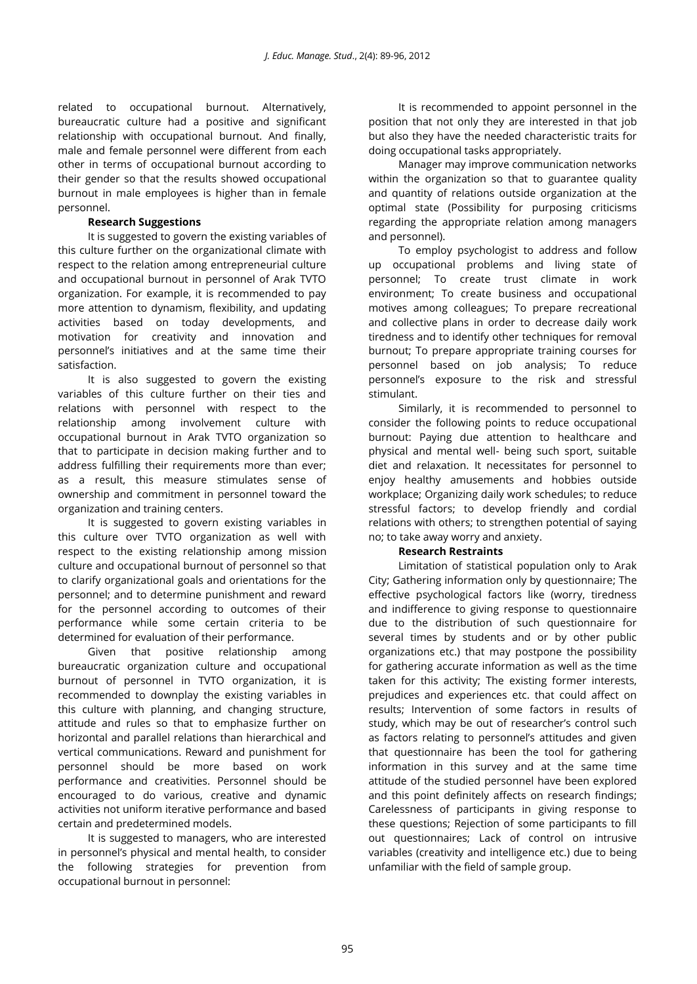related to occupational burnout. Alternatively, bureaucratic culture had a positive and significant relationship with occupational burnout. And finally, male and female personnel were different from each other in terms of occupational burnout according to their gender so that the results showed occupational burnout in male employees is higher than in female personnel.

### **Research Suggestions**

It is suggested to govern the existing variables of this culture further on the organizational climate with respect to the relation among entrepreneurial culture and occupational burnout in personnel of Arak TVTO organization. For example, it is recommended to pay more attention to dynamism, flexibility, and updating activities based on today developments, and motivation for creativity and innovation and personnel's initiatives and at the same time their satisfaction.

It is also suggested to govern the existing variables of this culture further on their ties and relations with personnel with respect to the relationship among involvement culture with occupational burnout in Arak TVTO organization so that to participate in decision making further and to address fulfilling their requirements more than ever; as a result, this measure stimulates sense of ownership and commitment in personnel toward the organization and training centers.

It is suggested to govern existing variables in this culture over TVTO organization as well with respect to the existing relationship among mission culture and occupational burnout of personnel so that to clarify organizational goals and orientations for the personnel; and to determine punishment and reward for the personnel according to outcomes of their performance while some certain criteria to be determined for evaluation of their performance.

Given that positive relationship among bureaucratic organization culture and occupational burnout of personnel in TVTO organization, it is recommended to downplay the existing variables in this culture with planning, and changing structure, attitude and rules so that to emphasize further on horizontal and parallel relations than hierarchical and vertical communications. Reward and punishment for personnel should be more based on work performance and creativities. Personnel should be encouraged to do various, creative and dynamic activities not uniform iterative performance and based certain and predetermined models.

It is suggested to managers, who are interested in personnel's physical and mental health, to consider the following strategies for prevention from occupational burnout in personnel:

It is recommended to appoint personnel in the position that not only they are interested in that job but also they have the needed characteristic traits for doing occupational tasks appropriately.

Manager may improve communication networks within the organization so that to guarantee quality and quantity of relations outside organization at the optimal state (Possibility for purposing criticisms regarding the appropriate relation among managers and personnel).

To employ psychologist to address and follow up occupational problems and living state of personnel; To create trust climate in work environment; To create business and occupational motives among colleagues; To prepare recreational and collective plans in order to decrease daily work tiredness and to identify other techniques for removal burnout; To prepare appropriate training courses for personnel based on job analysis; To reduce personnel's exposure to the risk and stressful stimulant.

Similarly, it is recommended to personnel to consider the following points to reduce occupational burnout: Paying due attention to healthcare and physical and mental well- being such sport, suitable diet and relaxation. It necessitates for personnel to enjoy healthy amusements and hobbies outside workplace; Organizing daily work schedules; to reduce stressful factors; to develop friendly and cordial relations with others; to strengthen potential of saying no; to take away worry and anxiety.

## **Research Restraints**

Limitation of statistical population only to Arak City; Gathering information only by questionnaire; The effective psychological factors like (worry, tiredness and indifference to giving response to questionnaire due to the distribution of such questionnaire for several times by students and or by other public organizations etc.) that may postpone the possibility for gathering accurate information as well as the time taken for this activity; The existing former interests, prejudices and experiences etc. that could affect on results; Intervention of some factors in results of study, which may be out of researcher's control such as factors relating to personnel's attitudes and given that questionnaire has been the tool for gathering information in this survey and at the same time attitude of the studied personnel have been explored and this point definitely affects on research findings; Carelessness of participants in giving response to these questions; Rejection of some participants to fill out questionnaires; Lack of control on intrusive variables (creativity and intelligence etc.) due to being unfamiliar with the field of sample group.